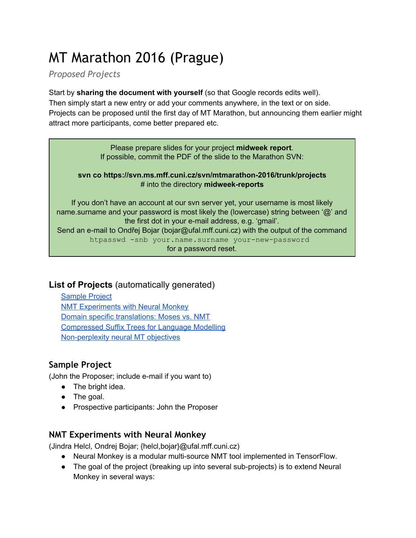# MT Marathon 2016 (Prague)

*Proposed Projects*

Start by **sharing the document with yourself** (so that Google records edits well).

Then simply start a new entry or add your comments anywhere, in the text or on side. Projects can be proposed until the first day of MT Marathon, but announcing them earlier might attract more participants, come better prepared etc.

> Please prepare slides for your project **midweek report**. If possible, commit the PDF of the slide to the Marathon SVN:

#### **svn co https://svn.ms.mff.cuni.cz/svn/mtmarathon2016/trunk/projects** # into the directory **midweek-reports**

If you don't have an account at our svn server yet, your username is most likely name.surname and your password is most likely the (lowercase) string between '@' and the first dot in your e-mail address, e.g. 'gmail'. Send an e-mail to Ondřej Bojar (bojar@ufal.mff.cuni.cz) with the output of the command htpasswd -snb your.name.surname your-new-password for a password reset.

## **List of Projects** (automatically generated)

[Sample Project](#page-0-0) [NMT Experiments with](#page-0-1) Neural Monkey [Domain specific translations:](#page-1-0) Moses vs. NMT [Compressed Suffix Trees for Language](#page-1-1) Modelling Non-perplexity neural MT objectives

# <span id="page-0-0"></span>**Sample Project**

(John the Proposer; include e-mail if you want to)

- The bright idea.
- The goal.
- Prospective participants: John the Proposer

# <span id="page-0-1"></span>**NMT Experiments with Neural Monkey**

(Jindra Helcl, Ondrej Bojar; {helcl,bojar}@ufal.mff.cuni.cz)

- Neural Monkey is a modular multi-source NMT tool implemented in TensorFlow.
- The goal of the project (breaking up into several sub-projects) is to extend Neural Monkey in several ways: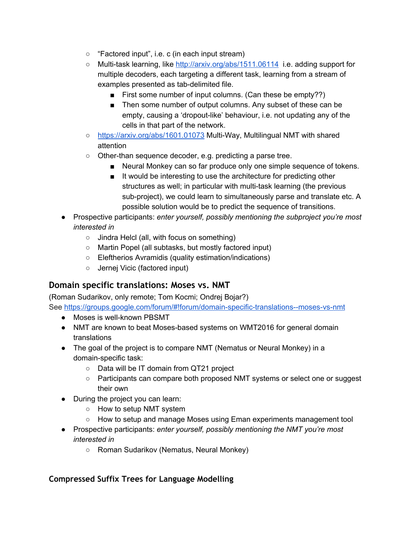- "Factored input", i.e. c (in each input stream)
- Multi-task learning, like <http://arxiv.org/abs/1511.06114> i.e. adding support for multiple decoders, each targeting a different task, learning from a stream of examples presented as tab-delimited file.
	- First some number of input columns. (Can these be empty??)
	- Then some number of output columns. Any subset of these can be empty, causing a 'dropout-like' behaviour, i.e. not updating any of the cells in that part of the network.
- <https://arxiv.org/abs/1601.01073> MultiWay, Multilingual NMT with shared attention
- $\circ$  Other-than sequence decoder, e.g. predicting a parse tree.
	- Neural Monkey can so far produce only one simple sequence of tokens.
	- It would be interesting to use the architecture for predicting other structures as well; in particular with multi-task learning (the previous sub-project), we could learn to simultaneously parse and translate etc. A possible solution would be to predict the sequence of transitions.
- Prospective participants: *enter yourself, possibly mentioning the subproject you're most interested in*
	- Jindra Helcl (all, with focus on something)
	- Martin Popel (all subtasks, but mostly factored input)
	- Eleftherios Avramidis (quality estimation/indications)
	- Jernej Vicic (factored input)

### <span id="page-1-0"></span>**Domain specific translations: Moses vs. NMT**

(Roman Sudarikov, only remote; Tom Kocmi; Ondrej Bojar?)

See https://groups.google.com/forum/#!forum/domain-specific-translations--moses-vs-nmt

- Moses is well-known PBSMT
- NMT are known to beat Moses-based systems on WMT2016 for general domain translations
- The goal of the project is to compare NMT (Nematus or Neural Monkey) in a domain-specific task:
	- Data will be IT domain from QT21 project
	- Participants can compare both proposed NMT systems or select one or suggest their own
- During the project you can learn:
	- How to setup NMT system
	- How to setup and manage Moses using Eman experiments management tool
- Prospective participants: *enter yourself, possibly mentioning the NMT you're most interested in*
	- Roman Sudarikov (Nematus, Neural Monkey)

#### <span id="page-1-1"></span>**Compressed Suffix Trees for Language Modelling**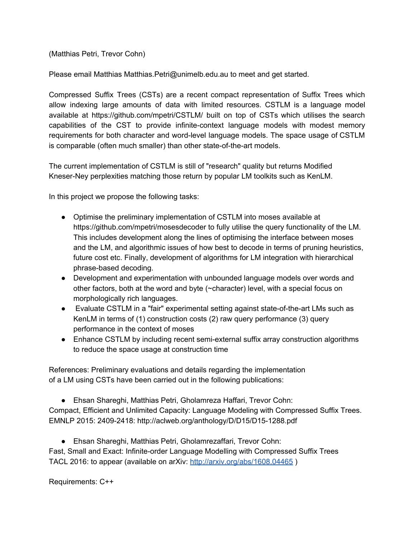(Matthias Petri, Trevor Cohn)

Please email Matthias Matthias.Petri@unimelb.edu.au to meet and get started.

Compressed Suffix Trees (CSTs) are a recent compact representation of Suffix Trees which allow indexing large amounts of data with limited resources. CSTLM is a language model available at https://github.com/mpetri/CSTLM/ built on top of CSTs which utilises the search capabilities of the CST to provide infinite-context language models with modest memory requirements for both character and word-level language models. The space usage of CSTLM is comparable (often much smaller) than other state-of-the-art models.

The current implementation of CSTLM is still of "research" quality but returns Modified Kneser-Ney perplexities matching those return by popular LM toolkits such as KenLM.

In this project we propose the following tasks:

- Optimise the preliminary implementation of CSTLM into moses available at https://github.com/mpetri/mosesdecoder to fully utilise the query functionality of the LM. This includes development along the lines of optimising the interface between moses and the LM, and algorithmic issues of how best to decode in terms of pruning heuristics, future cost etc. Finally, development of algorithms for LM integration with hierarchical phrase-based decoding.
- Development and experimentation with unbounded language models over words and other factors, both at the word and byte (~character) level, with a special focus on morphologically rich languages.
- Evaluate CSTLM in a "fair" experimental setting against state-of-the-art LMs such as KenLM in terms of (1) construction costs (2) raw query performance (3) query performance in the context of moses
- Enhance CSTLM by including recent semi-external suffix array construction algorithms to reduce the space usage at construction time

References: Preliminary evaluations and details regarding the implementation of a LM using CSTs have been carried out in the following publications:

● Ehsan Shareghi, Matthias Petri, Gholamreza Haffari, Trevor Cohn:

Compact, Efficient and Unlimited Capacity: Language Modeling with Compressed Suffix Trees. EMNLP 2015: 2409-2418: http://aclweb.org/anthology/D/D15/D15-1288.pdf

● Ehsan Shareghi, Matthias Petri, Gholamrezaffari, Trevor Cohn:

Fast, Small and Exact: Infinite-order Language Modelling with Compressed Suffix Trees TACL 2016: to appear (available on arXiv: [http://arxiv.org/abs/1608.04465](http://arxiv.org/abs/1608.04465_) )

Requirements: C++